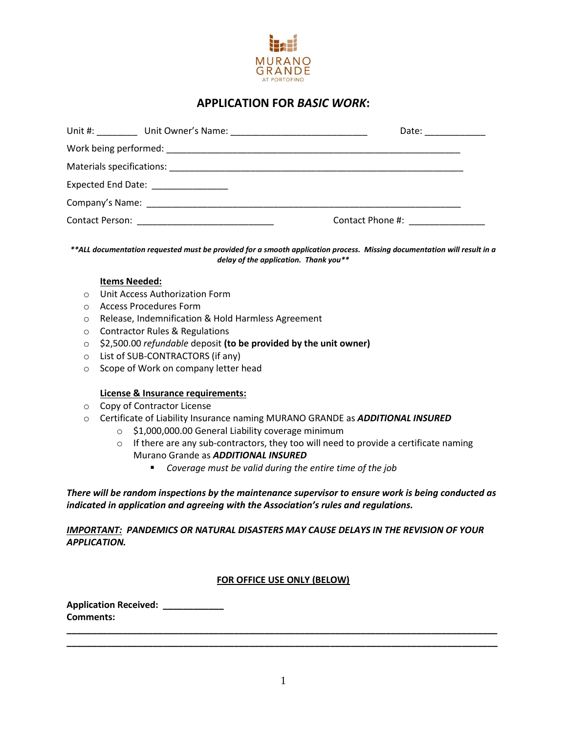

# **APPLICATION FOR** *BASIC WORK***:**

|                                    | Date: __________                            |
|------------------------------------|---------------------------------------------|
|                                    |                                             |
|                                    |                                             |
| Expected End Date: _______________ |                                             |
|                                    |                                             |
|                                    | Contact Phone #: Network and Separate Books |

*\*\*ALL documentation requested must be provided for a smooth application process. Missing documentation will result in a delay of the application. Thank you\*\**

#### **Items Needed:**

- o Unit Access Authorization Form
- o Access Procedures Form
- o Release, Indemnification & Hold Harmless Agreement
- o Contractor Rules & Regulations
- o \$2,500.00 *refundable* deposit **(to be provided by the unit owner)**
- o List of SUB-CONTRACTORS (if any)
- o Scope of Work on company letter head

#### **License & Insurance requirements:**

- o Copy of Contractor License
- o Certificate of Liability Insurance naming MURANO GRANDE as *ADDITIONAL INSURED*
	- o \$1,000,000.00 General Liability coverage minimum
	- $\circ$  If there are any sub-contractors, they too will need to provide a certificate naming Murano Grande as *ADDITIONAL INSURED*
		- *Coverage must be valid during the entire time of the job*

*There will be random inspections by the maintenance supervisor to ensure work is being conducted as indicated in application and agreeing with the Association's rules and regulations.*

*IMPORTANT: PANDEMICS OR NATURAL DISASTERS MAY CAUSE DELAYS IN THE REVISION OF YOUR APPLICATION.*

#### **FOR OFFICE USE ONLY (BELOW)**

**Application Received: \_\_\_\_\_\_\_\_\_\_\_\_ Comments: \_\_\_\_\_\_\_\_\_\_\_\_\_\_\_\_\_\_\_\_\_\_\_\_\_\_\_\_\_\_\_\_\_\_\_\_\_\_\_\_\_\_\_\_\_\_\_\_\_\_\_\_\_\_\_\_\_\_\_\_\_\_\_\_\_\_\_\_\_\_\_\_\_\_\_\_\_\_\_\_\_\_\_\_\_**

**\_\_\_\_\_\_\_\_\_\_\_\_\_\_\_\_\_\_\_\_\_\_\_\_\_\_\_\_\_\_\_\_\_\_\_\_\_\_\_\_\_\_\_\_\_\_\_\_\_\_\_\_\_\_\_\_\_\_\_\_\_\_\_\_\_\_\_\_\_\_\_\_\_\_\_\_\_\_\_\_\_\_\_\_\_**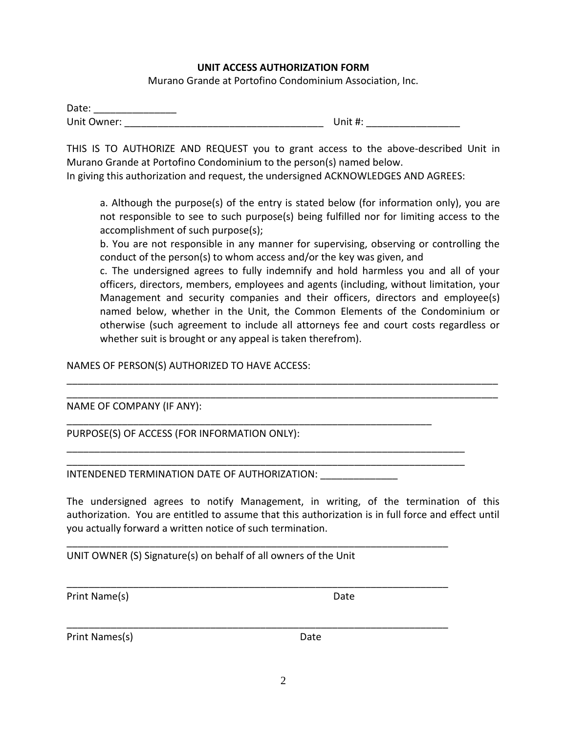#### **UNIT ACCESS AUTHORIZATION FORM**

Murano Grande at Portofino Condominium Association, Inc.

| Date:       |         |
|-------------|---------|
| Unit Owner: | Unit #: |

THIS IS TO AUTHORIZE AND REQUEST you to grant access to the above-described Unit in Murano Grande at Portofino Condominium to the person(s) named below.

In giving this authorization and request, the undersigned ACKNOWLEDGES AND AGREES:

a. Although the purpose(s) of the entry is stated below (for information only), you are not responsible to see to such purpose(s) being fulfilled nor for limiting access to the accomplishment of such purpose(s);

b. You are not responsible in any manner for supervising, observing or controlling the conduct of the person(s) to whom access and/or the key was given, and

c. The undersigned agrees to fully indemnify and hold harmless you and all of your officers, directors, members, employees and agents (including, without limitation, your Management and security companies and their officers, directors and employee(s) named below, whether in the Unit, the Common Elements of the Condominium or otherwise (such agreement to include all attorneys fee and court costs regardless or whether suit is brought or any appeal is taken therefrom).

NAMES OF PERSON(S) AUTHORIZED TO HAVE ACCESS:

NAME OF COMPANY (IF ANY):

PURPOSE(S) OF ACCESS (FOR INFORMATION ONLY):

INTENDENED TERMINATION DATE OF AUTHORIZATION:

The undersigned agrees to notify Management, in writing, of the termination of this authorization. You are entitled to assume that this authorization is in full force and effect until you actually forward a written notice of such termination.

\_\_\_\_\_\_\_\_\_\_\_\_\_\_\_\_\_\_\_\_\_\_\_\_\_\_\_\_\_\_\_\_\_\_\_\_\_\_\_\_\_\_\_\_\_\_\_\_\_\_\_\_\_\_\_\_\_\_\_\_\_\_\_\_\_\_\_\_\_\_\_\_\_\_\_\_\_\_ \_\_\_\_\_\_\_\_\_\_\_\_\_\_\_\_\_\_\_\_\_\_\_\_\_\_\_\_\_\_\_\_\_\_\_\_\_\_\_\_\_\_\_\_\_\_\_\_\_\_\_\_\_\_\_\_\_\_\_\_\_\_\_\_\_\_\_\_\_\_\_\_\_\_\_\_\_\_

\_\_\_\_\_\_\_\_\_\_\_\_\_\_\_\_\_\_\_\_\_\_\_\_\_\_\_\_\_\_\_\_\_\_\_\_\_\_\_\_\_\_\_\_\_\_\_\_\_\_\_\_\_\_\_\_\_\_\_\_\_\_\_\_\_\_

\_\_\_\_\_\_\_\_\_\_\_\_\_\_\_\_\_\_\_\_\_\_\_\_\_\_\_\_\_\_\_\_\_\_\_\_\_\_\_\_\_\_\_\_\_\_\_\_\_\_\_\_\_\_\_\_\_\_\_\_\_\_\_\_\_\_\_\_\_\_\_\_ \_\_\_\_\_\_\_\_\_\_\_\_\_\_\_\_\_\_\_\_\_\_\_\_\_\_\_\_\_\_\_\_\_\_\_\_\_\_\_\_\_\_\_\_\_\_\_\_\_\_\_\_\_\_\_\_\_\_\_\_\_\_\_\_\_\_\_\_\_\_\_\_

\_\_\_\_\_\_\_\_\_\_\_\_\_\_\_\_\_\_\_\_\_\_\_\_\_\_\_\_\_\_\_\_\_\_\_\_\_\_\_\_\_\_\_\_\_\_\_\_\_\_\_\_\_\_\_\_\_\_\_\_\_\_\_\_\_\_\_\_\_

\_\_\_\_\_\_\_\_\_\_\_\_\_\_\_\_\_\_\_\_\_\_\_\_\_\_\_\_\_\_\_\_\_\_\_\_\_\_\_\_\_\_\_\_\_\_\_\_\_\_\_\_\_\_\_\_\_\_\_\_\_\_\_\_\_\_\_\_\_

\_\_\_\_\_\_\_\_\_\_\_\_\_\_\_\_\_\_\_\_\_\_\_\_\_\_\_\_\_\_\_\_\_\_\_\_\_\_\_\_\_\_\_\_\_\_\_\_\_\_\_\_\_\_\_\_\_\_\_\_\_\_\_\_\_\_\_\_\_

UNIT OWNER (S) Signature(s) on behalf of all owners of the Unit

Print Name(s) Date

Print Names(s) Date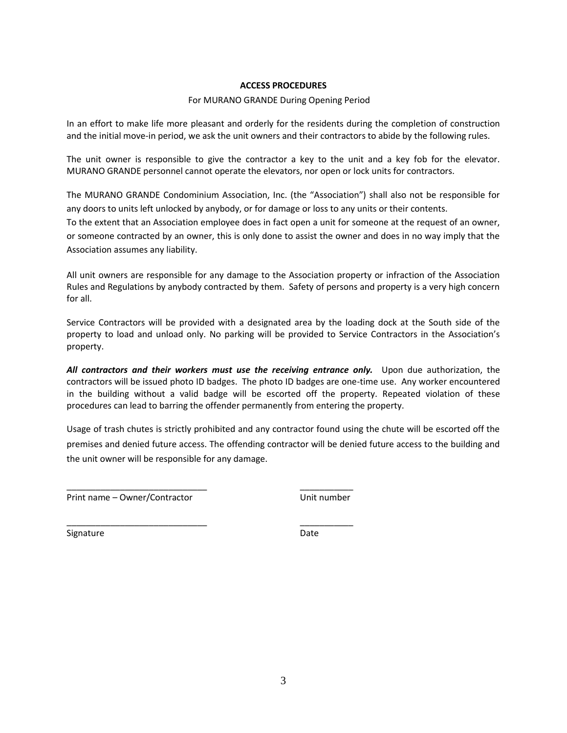#### **ACCESS PROCEDURES**

#### For MURANO GRANDE During Opening Period

In an effort to make life more pleasant and orderly for the residents during the completion of construction and the initial move-in period, we ask the unit owners and their contractors to abide by the following rules.

The unit owner is responsible to give the contractor a key to the unit and a key fob for the elevator. MURANO GRANDE personnel cannot operate the elevators, nor open or lock units for contractors.

The MURANO GRANDE Condominium Association, Inc. (the "Association") shall also not be responsible for any doors to units left unlocked by anybody, or for damage or loss to any units or their contents.

To the extent that an Association employee does in fact open a unit for someone at the request of an owner, or someone contracted by an owner, this is only done to assist the owner and does in no way imply that the Association assumes any liability.

All unit owners are responsible for any damage to the Association property or infraction of the Association Rules and Regulations by anybody contracted by them. Safety of persons and property is a very high concern for all.

Service Contractors will be provided with a designated area by the loading dock at the South side of the property to load and unload only. No parking will be provided to Service Contractors in the Association's property.

*All contractors and their workers must use the receiving entrance only.* Upon due authorization, the contractors will be issued photo ID badges. The photo ID badges are one-time use. Any worker encountered in the building without a valid badge will be escorted off the property. Repeated violation of these procedures can lead to barring the offender permanently from entering the property.

Usage of trash chutes is strictly prohibited and any contractor found using the chute will be escorted off the premises and denied future access. The offending contractor will be denied future access to the building and the unit owner will be responsible for any damage.

Print name – Owner/Contractor Unit number

\_\_\_\_\_\_\_\_\_\_\_\_\_\_\_\_\_\_\_\_\_\_\_\_\_\_\_\_\_ \_\_\_\_\_\_\_\_\_\_\_

\_\_\_\_\_\_\_\_\_\_\_\_\_\_\_\_\_\_\_\_\_\_\_\_\_\_\_\_\_ \_\_\_\_\_\_\_\_\_\_\_

Signature Date Date Date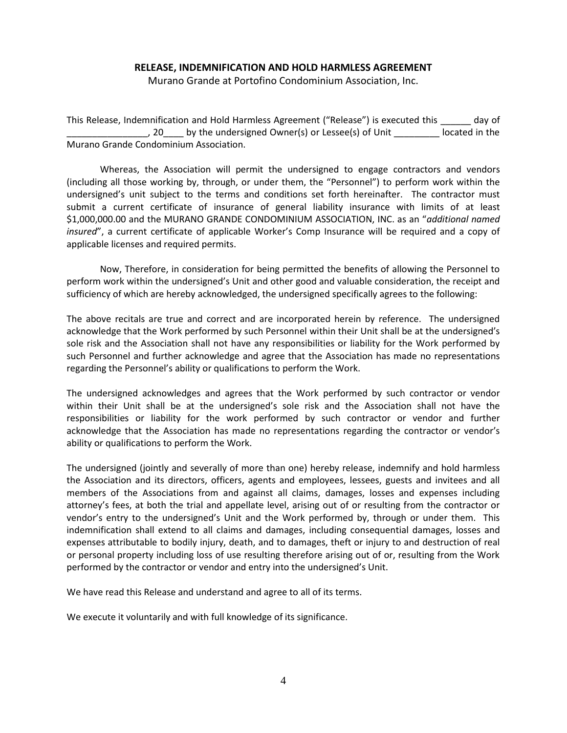#### **RELEASE, INDEMNIFICATION AND HOLD HARMLESS AGREEMENT**

Murano Grande at Portofino Condominium Association, Inc.

This Release, Indemnification and Hold Harmless Agreement ("Release") is executed this \_\_\_\_\_\_ day of , 20 by the undersigned Owner(s) or Lessee(s) of Unit located in the Murano Grande Condominium Association.

Whereas, the Association will permit the undersigned to engage contractors and vendors (including all those working by, through, or under them, the "Personnel") to perform work within the undersigned's unit subject to the terms and conditions set forth hereinafter. The contractor must submit a current certificate of insurance of general liability insurance with limits of at least \$1,000,000.00 and the MURANO GRANDE CONDOMINIUM ASSOCIATION, INC. as an "*additional named insured*", a current certificate of applicable Worker's Comp Insurance will be required and a copy of applicable licenses and required permits.

Now, Therefore, in consideration for being permitted the benefits of allowing the Personnel to perform work within the undersigned's Unit and other good and valuable consideration, the receipt and sufficiency of which are hereby acknowledged, the undersigned specifically agrees to the following:

The above recitals are true and correct and are incorporated herein by reference. The undersigned acknowledge that the Work performed by such Personnel within their Unit shall be at the undersigned's sole risk and the Association shall not have any responsibilities or liability for the Work performed by such Personnel and further acknowledge and agree that the Association has made no representations regarding the Personnel's ability or qualifications to perform the Work.

The undersigned acknowledges and agrees that the Work performed by such contractor or vendor within their Unit shall be at the undersigned's sole risk and the Association shall not have the responsibilities or liability for the work performed by such contractor or vendor and further acknowledge that the Association has made no representations regarding the contractor or vendor's ability or qualifications to perform the Work.

The undersigned (jointly and severally of more than one) hereby release, indemnify and hold harmless the Association and its directors, officers, agents and employees, lessees, guests and invitees and all members of the Associations from and against all claims, damages, losses and expenses including attorney's fees, at both the trial and appellate level, arising out of or resulting from the contractor or vendor's entry to the undersigned's Unit and the Work performed by, through or under them. This indemnification shall extend to all claims and damages, including consequential damages, losses and expenses attributable to bodily injury, death, and to damages, theft or injury to and destruction of real or personal property including loss of use resulting therefore arising out of or, resulting from the Work performed by the contractor or vendor and entry into the undersigned's Unit.

We have read this Release and understand and agree to all of its terms.

We execute it voluntarily and with full knowledge of its significance.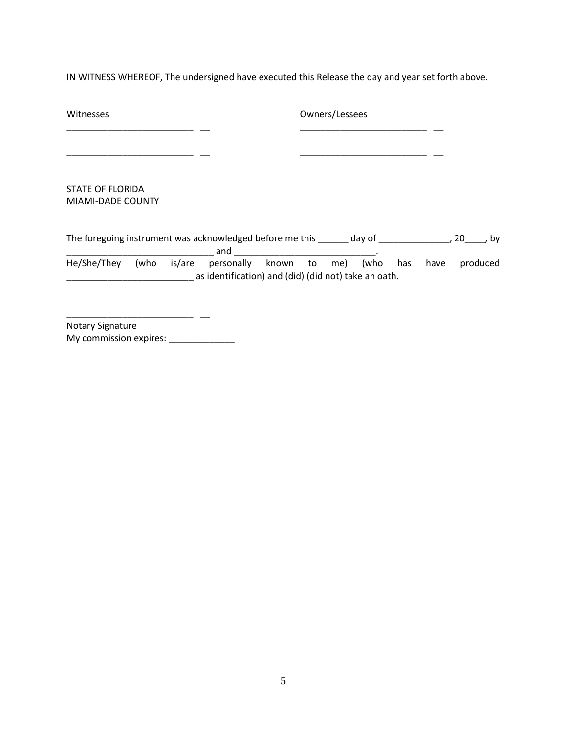IN WITNESS WHEREOF, The undersigned have executed this Release the day and year set forth above.

| Witnesses                                                               |      |        |                                                                                      | Owners/Lessees |  |  |     |      |      |          |
|-------------------------------------------------------------------------|------|--------|--------------------------------------------------------------------------------------|----------------|--|--|-----|------|------|----------|
|                                                                         |      |        |                                                                                      |                |  |  |     |      |      |          |
|                                                                         |      |        |                                                                                      |                |  |  |     |      |      |          |
| <b>STATE OF FLORIDA</b>                                                 |      |        |                                                                                      |                |  |  |     |      |      |          |
| MIAMI-DADE COUNTY                                                       |      |        |                                                                                      |                |  |  |     |      |      |          |
| The foregoing instrument was acknowledged before me this _______ day of |      |        | and                                                                                  |                |  |  |     |      | , 20 | bv       |
| He/She/They                                                             | (who | is/are | personally known to me) (who<br>as identification) and (did) (did not) take an oath. |                |  |  | has | have |      | produced |
|                                                                         |      |        |                                                                                      |                |  |  |     |      |      |          |

\_\_\_\_\_\_\_\_\_\_\_\_\_\_\_\_\_\_\_\_\_\_\_\_\_ \_\_ Notary Signature My commission expires: \_\_\_\_\_\_\_\_\_\_\_\_\_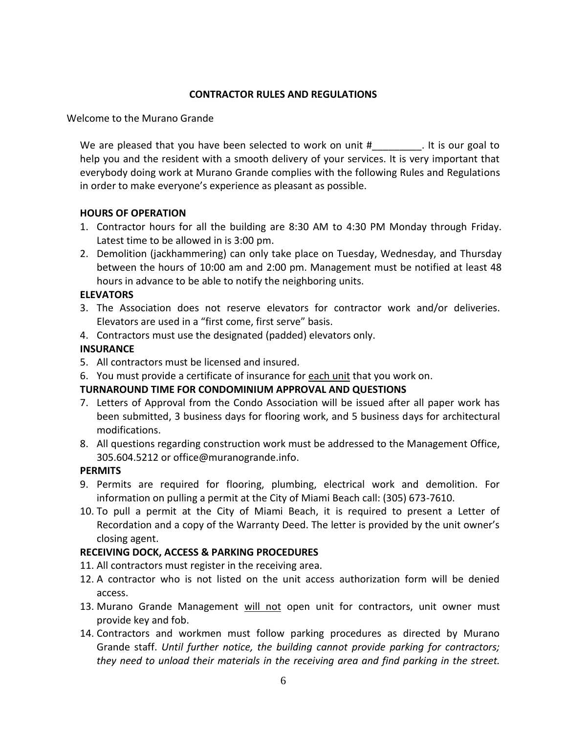### **CONTRACTOR RULES AND REGULATIONS**

Welcome to the Murano Grande

We are pleased that you have been selected to work on unit  $#$  are not is our goal to help you and the resident with a smooth delivery of your services. It is very important that everybody doing work at Murano Grande complies with the following Rules and Regulations in order to make everyone's experience as pleasant as possible.

### **HOURS OF OPERATION**

- 1. Contractor hours for all the building are 8:30 AM to 4:30 PM Monday through Friday. Latest time to be allowed in is 3:00 pm.
- 2. Demolition (jackhammering) can only take place on Tuesday, Wednesday, and Thursday between the hours of 10:00 am and 2:00 pm. Management must be notified at least 48 hours in advance to be able to notify the neighboring units.

# **ELEVATORS**

- 3. The Association does not reserve elevators for contractor work and/or deliveries. Elevators are used in a "first come, first serve" basis.
- 4. Contractors must use the designated (padded) elevators only.

# **INSURANCE**

- 5. All contractors must be licensed and insured.
- 6. You must provide a certificate of insurance for each unit that you work on.

# **TURNAROUND TIME FOR CONDOMINIUM APPROVAL AND QUESTIONS**

- 7. Letters of Approval from the Condo Association will be issued after all paper work has been submitted, 3 business days for flooring work, and 5 business days for architectural modifications.
- 8. All questions regarding construction work must be addressed to the Management Office, 305.604.5212 or office@muranogrande.info.

### **PERMITS**

- 9. Permits are required for flooring, plumbing, electrical work and demolition. For information on pulling a permit at the City of Miami Beach call: (305) 673-7610.
- 10. To pull a permit at the City of Miami Beach, it is required to present a Letter of Recordation and a copy of the Warranty Deed. The letter is provided by the unit owner's closing agent.

### **RECEIVING DOCK, ACCESS & PARKING PROCEDURES**

- 11. All contractors must register in the receiving area.
- 12. A contractor who is not listed on the unit access authorization form will be denied access.
- 13. Murano Grande Management will not open unit for contractors, unit owner must provide key and fob.
- 14. Contractors and workmen must follow parking procedures as directed by Murano Grande staff. *Until further notice, the building cannot provide parking for contractors; they need to unload their materials in the receiving area and find parking in the street.*